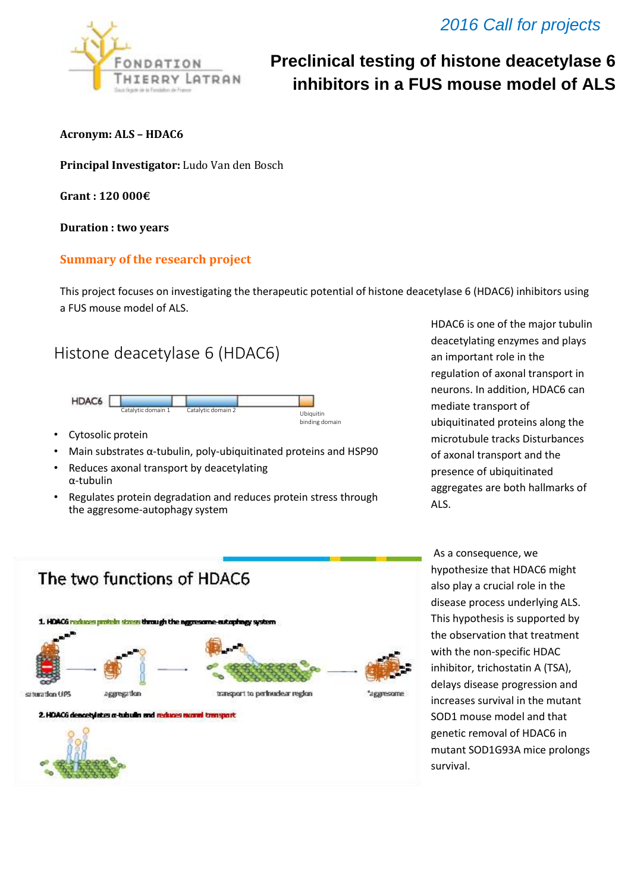

## *2016 Call for projects*

# **Preclinical testing of histone deacetylase 6 inhibitors in a FUS mouse model of ALS**

**Acronym: ALS – HDAC6** 

**Principal Investigator:** Ludo Van den Bosch

**Grant : 120 000€**

**Duration : two years** 

#### **Summary of the research project**

This project focuses on investigating the therapeutic potential of histone deacetylase 6 (HDAC6) inhibitors using a FUS mouse model of ALS.

### Histone deacetylase 6 (HDAC6)



- Cytosolic protein
- Main substrates α-tubulin, poly-ubiquitinated proteins and HSP90
- Reduces axonal transport by deacetylating α-tubulin
- Regulates protein degradation and reduces protein stress through the aggresome-autophagy system

HDAC6 is one of the major tubulin deacetylating enzymes and plays an important role in the regulation of axonal transport in neurons. In addition, HDAC6 can mediate transport of ubiquitinated proteins along the microtubule tracks Disturbances of axonal transport and the presence of ubiquitinated aggregates are both hallmarks of ALS.



As a consequence, we hypothesize that HDAC6 might also play a crucial role in the disease process underlying ALS. This hypothesis is supported by the observation that treatment with the non-specific HDAC inhibitor, trichostatin A (TSA), delays disease progression and increases survival in the mutant SOD1 mouse model and that genetic removal of HDAC6 in mutant SOD1G93A mice prolongs survival.